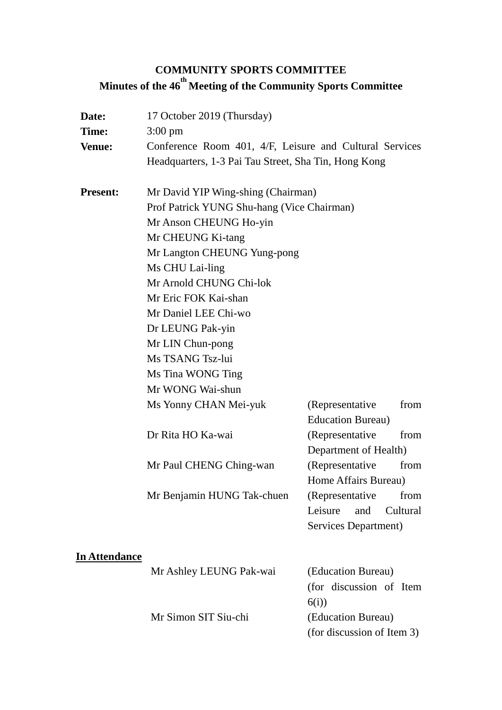# **COMMUNITY SPORTS COMMITTEE Minutes of the 46th Meeting of the Community Sports Committee**

| Date:<br>Time:<br><b>Venue:</b> | 17 October 2019 (Thursday)<br>$3:00 \text{ pm}$<br>Conference Room 401, 4/F, Leisure and Cultural Services<br>Headquarters, 1-3 Pai Tau Street, Sha Tin, Hong Kong |                            |  |
|---------------------------------|--------------------------------------------------------------------------------------------------------------------------------------------------------------------|----------------------------|--|
| <b>Present:</b>                 | Mr David YIP Wing-shing (Chairman)<br>Prof Patrick YUNG Shu-hang (Vice Chairman)<br>Mr Anson CHEUNG Ho-yin                                                         |                            |  |
|                                 |                                                                                                                                                                    |                            |  |
|                                 |                                                                                                                                                                    |                            |  |
|                                 | Mr CHEUNG Ki-tang                                                                                                                                                  |                            |  |
|                                 | Mr Langton CHEUNG Yung-pong                                                                                                                                        |                            |  |
|                                 | Ms CHU Lai-ling                                                                                                                                                    |                            |  |
|                                 | Mr Arnold CHUNG Chi-lok                                                                                                                                            |                            |  |
|                                 | Mr Eric FOK Kai-shan                                                                                                                                               |                            |  |
|                                 | Mr Daniel LEE Chi-wo                                                                                                                                               |                            |  |
|                                 | Dr LEUNG Pak-yin                                                                                                                                                   |                            |  |
|                                 | Mr LIN Chun-pong                                                                                                                                                   |                            |  |
|                                 | Ms TSANG Tsz-lui                                                                                                                                                   |                            |  |
|                                 | Ms Tina WONG Ting                                                                                                                                                  |                            |  |
|                                 | Mr WONG Wai-shun                                                                                                                                                   |                            |  |
|                                 | Ms Yonny CHAN Mei-yuk                                                                                                                                              | (Representative)<br>from   |  |
|                                 |                                                                                                                                                                    | <b>Education Bureau</b> )  |  |
|                                 | Dr Rita HO Ka-wai                                                                                                                                                  | (Representative<br>from    |  |
|                                 |                                                                                                                                                                    | Department of Health)      |  |
|                                 | Mr Paul CHENG Ching-wan                                                                                                                                            | (Representative<br>from    |  |
|                                 |                                                                                                                                                                    | Home Affairs Bureau)       |  |
|                                 | Mr Benjamin HUNG Tak-chuen                                                                                                                                         | from<br>(Representative)   |  |
|                                 |                                                                                                                                                                    | Leisure<br>and<br>Cultural |  |
|                                 |                                                                                                                                                                    | Services Department)       |  |
| <b>In Attendance</b>            |                                                                                                                                                                    |                            |  |
|                                 | Mr Ashley LEUNG Pak-wai                                                                                                                                            | (Education Bureau)         |  |
|                                 |                                                                                                                                                                    | (for discussion of Item    |  |
|                                 |                                                                                                                                                                    | 6(i)                       |  |
|                                 | Mr Simon SIT Siu-chi                                                                                                                                               | (Education Bureau)         |  |

(for discussion of Item 3)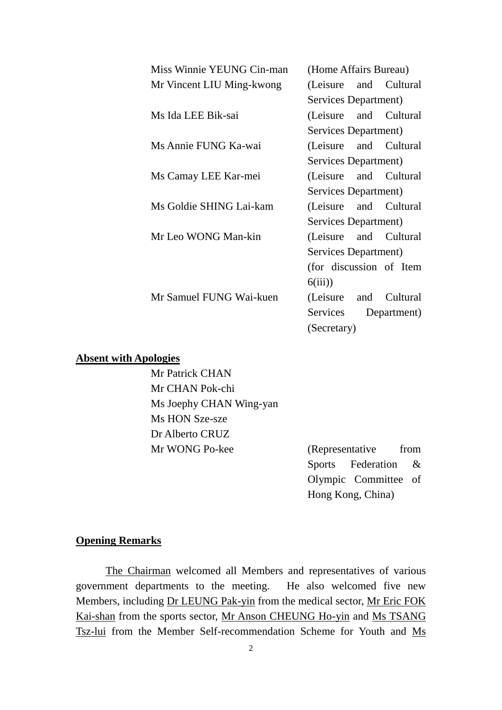| Miss Winnie YEUNG Cin-man | (Home Affairs Bureau)       |  |  |
|---------------------------|-----------------------------|--|--|
| Mr Vincent LIU Ming-kwong | (Leisure and Cultural       |  |  |
|                           | <b>Services Department)</b> |  |  |
| Ms Ida LEE Bik-sai        | (Leisure and Cultural       |  |  |
|                           | Services Department)        |  |  |
| Ms Annie FUNG Ka-wai      | (Leisure and Cultural       |  |  |
|                           | <b>Services Department)</b> |  |  |
| Ms Camay LEE Kar-mei      | (Leisure and Cultural       |  |  |
|                           | Services Department)        |  |  |
| Ms Goldie SHING Lai-kam   | (Leisure and Cultural       |  |  |
|                           | Services Department)        |  |  |
| Mr Leo WONG Man-kin       | (Leisure and Cultural       |  |  |
|                           | Services Department)        |  |  |
|                           | (for discussion of Item     |  |  |
|                           | 6(iii)                      |  |  |
| Mr Samuel FUNG Wai-kuen   | (Leisure and Cultural       |  |  |
|                           | Services Department)        |  |  |
|                           | (Secretary)                 |  |  |
|                           |                             |  |  |

#### **Absent with Apologies**

Mr Patrick CHAN Mr CHAN Pok-chi Ms Joephy CHAN Wing-yan Ms HON Sze-sze Dr Alberto CRUZ Mr WONG Po-kee (Representative from

Sports Federation & Olympic Committee of Hong Kong, China)

#### **Opening Remarks**

The Chairman welcomed all Members and representatives of various government departments to the meeting. He also welcomed five new Members, including Dr LEUNG Pak-yin from the medical sector, Mr Eric FOK Kai-shan from the sports sector, Mr Anson CHEUNG Ho-yin and Ms TSANG Tsz-lui from the Member Self-recommendation Scheme for Youth and Ms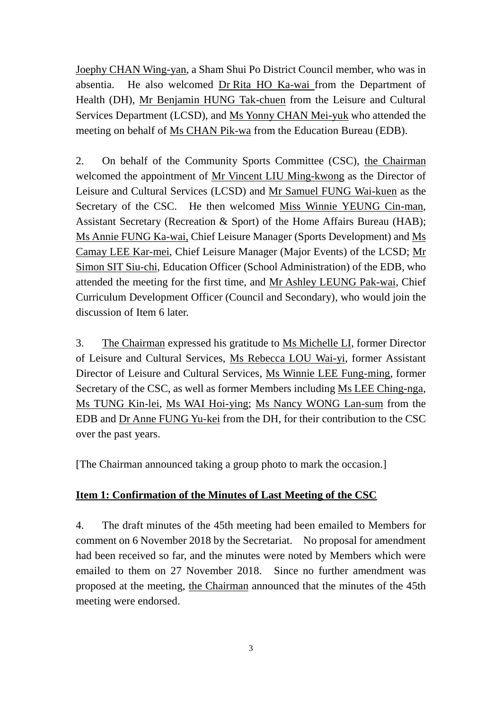Joephy CHAN Wing-yan, a Sham Shui Po District Council member, who was in absentia. He also welcomed Dr Rita HO Ka-wai from the Department of Health (DH), Mr Benjamin HUNG Tak-chuen from the Leisure and Cultural Services Department (LCSD), and Ms Yonny CHAN Mei-yuk who attended the meeting on behalf of Ms CHAN Pik-wa from the Education Bureau (EDB).

2. On behalf of the Community Sports Committee (CSC), the Chairman welcomed the appointment of Mr Vincent LIU Ming-kwong as the Director of Leisure and Cultural Services (LCSD) and Mr Samuel FUNG Wai-kuen as the Secretary of the CSC. He then welcomed Miss Winnie YEUNG Cin-man, Assistant Secretary (Recreation & Sport) of the Home Affairs Bureau (HAB); Ms Annie FUNG Ka-wai, Chief Leisure Manager (Sports Development) and Ms Camay LEE Kar-mei, Chief Leisure Manager (Major Events) of the LCSD; Mr Simon SIT Siu-chi, Education Officer (School Administration) of the EDB, who attended the meeting for the first time, and Mr Ashley LEUNG Pak-wai, Chief Curriculum Development Officer (Council and Secondary), who would join the discussion of Item 6 later.

3. The Chairman expressed his gratitude to Ms Michelle LI, former Director of Leisure and Cultural Services, Ms Rebecca LOU Wai-yi, former Assistant Director of Leisure and Cultural Services, Ms Winnie LEE Fung-ming, former Secretary of the CSC, as well as former Members including Ms LEE Ching-nga, Ms TUNG Kin-lei, Ms WAI Hoi-ying; Ms Nancy WONG Lan-sum from the EDB and Dr Anne FUNG Yu-kei from the DH, for their contribution to the CSC over the past years.

[The Chairman announced taking a group photo to mark the occasion.]

# **Item 1: Confirmation of the Minutes of Last Meeting of the CSC**

4. The draft minutes of the 45th meeting had been emailed to Members for comment on 6 November 2018 by the Secretariat. No proposal for amendment had been received so far, and the minutes were noted by Members which were emailed to them on 27 November 2018. Since no further amendment was proposed at the meeting, the Chairman announced that the minutes of the 45th meeting were endorsed.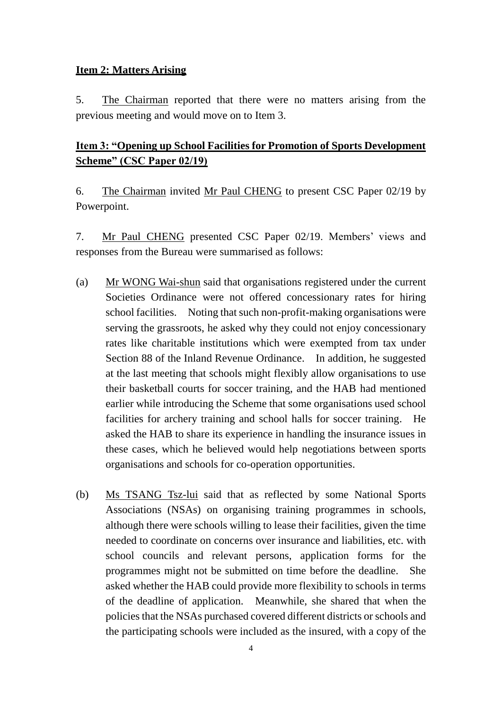### **Item 2: Matters Arising**

5. The Chairman reported that there were no matters arising from the previous meeting and would move on to Item 3.

# **Item 3: "Opening up School Facilities for Promotion of Sports Development Scheme" (CSC Paper 02/19)**

6. The Chairman invited Mr Paul CHENG to present CSC Paper 02/19 by Powerpoint.

7. Mr Paul CHENG presented CSC Paper 02/19. Members' views and responses from the Bureau were summarised as follows:

- (a) Mr WONG Wai-shun said that organisations registered under the current Societies Ordinance were not offered concessionary rates for hiring school facilities. Noting that such non-profit-making organisations were serving the grassroots, he asked why they could not enjoy concessionary rates like charitable institutions which were exempted from tax under Section 88 of the Inland Revenue Ordinance. In addition, he suggested at the last meeting that schools might flexibly allow organisations to use their basketball courts for soccer training, and the HAB had mentioned earlier while introducing the Scheme that some organisations used school facilities for archery training and school halls for soccer training. He asked the HAB to share its experience in handling the insurance issues in these cases, which he believed would help negotiations between sports organisations and schools for co-operation opportunities.
- (b) Ms TSANG Tsz-lui said that as reflected by some National Sports Associations (NSAs) on organising training programmes in schools, although there were schools willing to lease their facilities, given the time needed to coordinate on concerns over insurance and liabilities, etc. with school councils and relevant persons, application forms for the programmes might not be submitted on time before the deadline. She asked whether the HAB could provide more flexibility to schools in terms of the deadline of application. Meanwhile, she shared that when the policies that the NSAs purchased covered different districts or schools and the participating schools were included as the insured, with a copy of the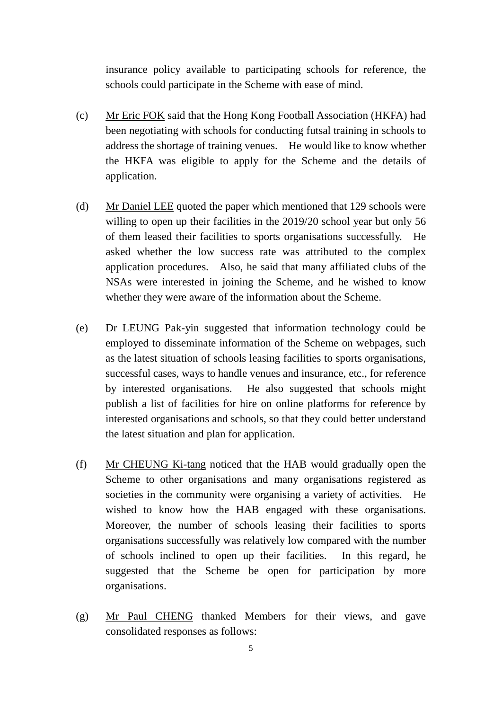insurance policy available to participating schools for reference, the schools could participate in the Scheme with ease of mind.

- (c) Mr Eric FOK said that the Hong Kong Football Association (HKFA) had been negotiating with schools for conducting futsal training in schools to address the shortage of training venues. He would like to know whether the HKFA was eligible to apply for the Scheme and the details of application.
- (d) Mr Daniel LEE quoted the paper which mentioned that 129 schools were willing to open up their facilities in the 2019/20 school year but only 56 of them leased their facilities to sports organisations successfully. He asked whether the low success rate was attributed to the complex application procedures. Also, he said that many affiliated clubs of the NSAs were interested in joining the Scheme, and he wished to know whether they were aware of the information about the Scheme.
- (e) Dr LEUNG Pak-yin suggested that information technology could be employed to disseminate information of the Scheme on webpages, such as the latest situation of schools leasing facilities to sports organisations, successful cases, ways to handle venues and insurance, etc., for reference by interested organisations. He also suggested that schools might publish a list of facilities for hire on online platforms for reference by interested organisations and schools, so that they could better understand the latest situation and plan for application.
- (f) Mr CHEUNG Ki-tang noticed that the HAB would gradually open the Scheme to other organisations and many organisations registered as societies in the community were organising a variety of activities. He wished to know how the HAB engaged with these organisations. Moreover, the number of schools leasing their facilities to sports organisations successfully was relatively low compared with the number of schools inclined to open up their facilities. In this regard, he suggested that the Scheme be open for participation by more organisations.
- (g) Mr Paul CHENG thanked Members for their views, and gave consolidated responses as follows: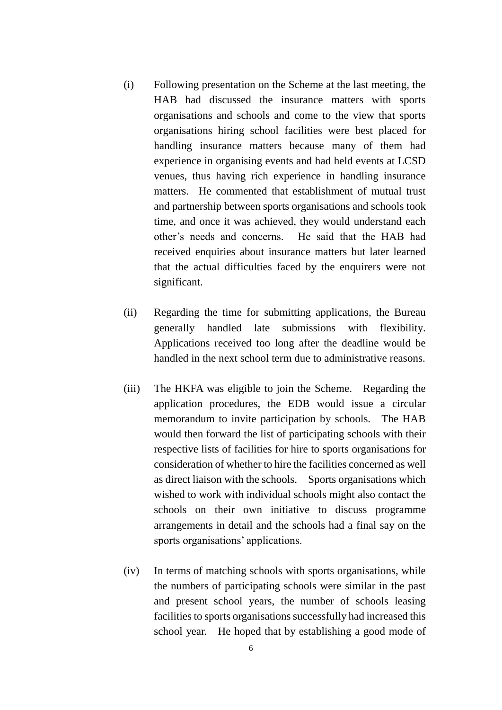- (i) Following presentation on the Scheme at the last meeting, the HAB had discussed the insurance matters with sports organisations and schools and come to the view that sports organisations hiring school facilities were best placed for handling insurance matters because many of them had experience in organising events and had held events at LCSD venues, thus having rich experience in handling insurance matters. He commented that establishment of mutual trust and partnership between sports organisations and schools took time, and once it was achieved, they would understand each other's needs and concerns. He said that the HAB had received enquiries about insurance matters but later learned that the actual difficulties faced by the enquirers were not significant.
- (ii) Regarding the time for submitting applications, the Bureau generally handled late submissions with flexibility. Applications received too long after the deadline would be handled in the next school term due to administrative reasons.
- (iii) The HKFA was eligible to join the Scheme. Regarding the application procedures, the EDB would issue a circular memorandum to invite participation by schools. The HAB would then forward the list of participating schools with their respective lists of facilities for hire to sports organisations for consideration of whether to hire the facilities concerned as well as direct liaison with the schools. Sports organisations which wished to work with individual schools might also contact the schools on their own initiative to discuss programme arrangements in detail and the schools had a final say on the sports organisations' applications.
- (iv) In terms of matching schools with sports organisations, while the numbers of participating schools were similar in the past and present school years, the number of schools leasing facilities to sports organisations successfully had increased this school year. He hoped that by establishing a good mode of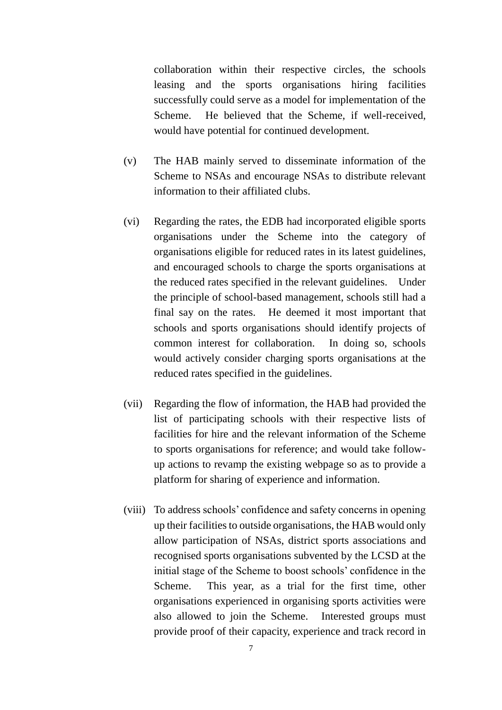collaboration within their respective circles, the schools leasing and the sports organisations hiring facilities successfully could serve as a model for implementation of the Scheme. He believed that the Scheme, if well-received, would have potential for continued development.

- (v) The HAB mainly served to disseminate information of the Scheme to NSAs and encourage NSAs to distribute relevant information to their affiliated clubs.
- (vi) Regarding the rates, the EDB had incorporated eligible sports organisations under the Scheme into the category of organisations eligible for reduced rates in its latest guidelines, and encouraged schools to charge the sports organisations at the reduced rates specified in the relevant guidelines. Under the principle of school-based management, schools still had a final say on the rates. He deemed it most important that schools and sports organisations should identify projects of common interest for collaboration. In doing so, schools would actively consider charging sports organisations at the reduced rates specified in the guidelines.
- (vii) Regarding the flow of information, the HAB had provided the list of participating schools with their respective lists of facilities for hire and the relevant information of the Scheme to sports organisations for reference; and would take followup actions to revamp the existing webpage so as to provide a platform for sharing of experience and information.
- (viii) To address schools' confidence and safety concerns in opening up their facilities to outside organisations, the HAB would only allow participation of NSAs, district sports associations and recognised sports organisations subvented by the LCSD at the initial stage of the Scheme to boost schools' confidence in the Scheme. This year, as a trial for the first time, other organisations experienced in organising sports activities were also allowed to join the Scheme. Interested groups must provide proof of their capacity, experience and track record in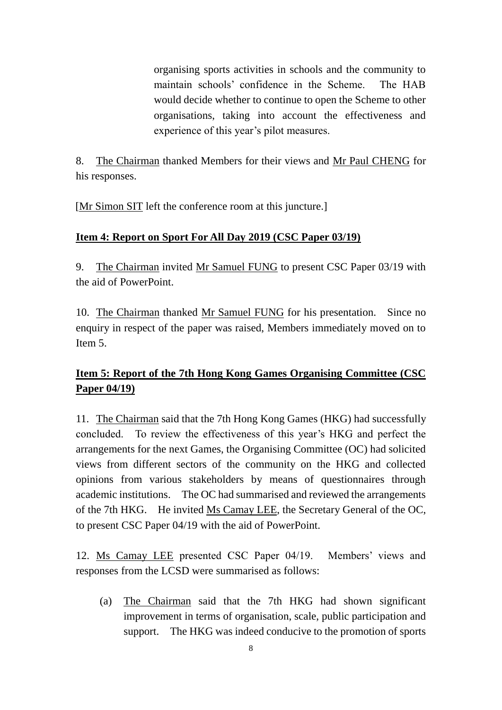organising sports activities in schools and the community to maintain schools' confidence in the Scheme. The HAB would decide whether to continue to open the Scheme to other organisations, taking into account the effectiveness and experience of this year's pilot measures.

8. The Chairman thanked Members for their views and Mr Paul CHENG for his responses.

[Mr Simon SIT left the conference room at this juncture.]

# **Item 4: Report on Sport For All Day 2019 (CSC Paper 03/19)**

9. The Chairman invited Mr Samuel FUNG to present CSC Paper 03/19 with the aid of PowerPoint.

10. The Chairman thanked Mr Samuel FUNG for his presentation. Since no enquiry in respect of the paper was raised, Members immediately moved on to Item 5.

# **Item 5: Report of the 7th Hong Kong Games Organising Committee (CSC Paper 04/19)**

11. The Chairman said that the 7th Hong Kong Games (HKG) had successfully concluded. To review the effectiveness of this year's HKG and perfect the arrangements for the next Games, the Organising Committee (OC) had solicited views from different sectors of the community on the HKG and collected opinions from various stakeholders by means of questionnaires through academic institutions. The OC had summarised and reviewed the arrangements of the 7th HKG. He invited Ms Camay LEE, the Secretary General of the OC, to present CSC Paper 04/19 with the aid of PowerPoint.

12. Ms Camay LEE presented CSC Paper 04/19. Members' views and responses from the LCSD were summarised as follows:

(a) The Chairman said that the 7th HKG had shown significant improvement in terms of organisation, scale, public participation and support. The HKG was indeed conducive to the promotion of sports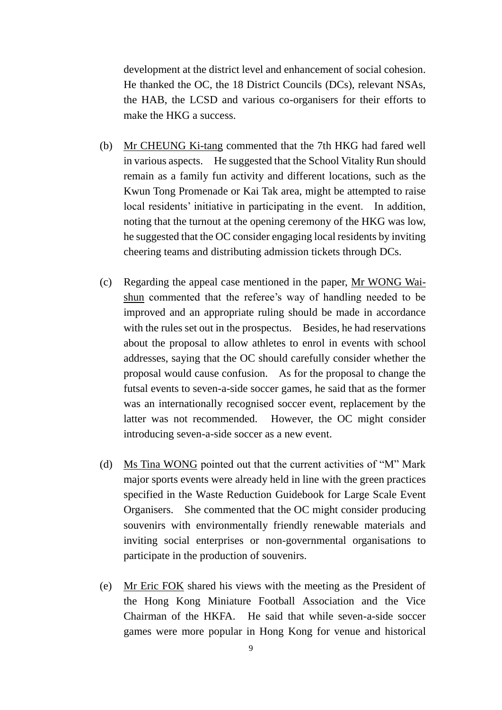development at the district level and enhancement of social cohesion. He thanked the OC, the 18 District Councils (DCs), relevant NSAs, the HAB, the LCSD and various co-organisers for their efforts to make the HKG a success.

- (b) Mr CHEUNG Ki-tang commented that the 7th HKG had fared well in various aspects. He suggested that the School Vitality Run should remain as a family fun activity and different locations, such as the Kwun Tong Promenade or Kai Tak area, might be attempted to raise local residents' initiative in participating in the event. In addition, noting that the turnout at the opening ceremony of the HKG was low, he suggested that the OC consider engaging local residents by inviting cheering teams and distributing admission tickets through DCs.
- (c) Regarding the appeal case mentioned in the paper, Mr WONG Waishun commented that the referee's way of handling needed to be improved and an appropriate ruling should be made in accordance with the rules set out in the prospectus. Besides, he had reservations about the proposal to allow athletes to enrol in events with school addresses, saying that the OC should carefully consider whether the proposal would cause confusion. As for the proposal to change the futsal events to seven-a-side soccer games, he said that as the former was an internationally recognised soccer event, replacement by the latter was not recommended. However, the OC might consider introducing seven-a-side soccer as a new event.
- (d) Ms Tina WONG pointed out that the current activities of "M" Mark major sports events were already held in line with the green practices specified in the Waste Reduction Guidebook for Large Scale Event Organisers. She commented that the OC might consider producing souvenirs with environmentally friendly renewable materials and inviting social enterprises or non-governmental organisations to participate in the production of souvenirs.
- (e) Mr Eric FOK shared his views with the meeting as the President of the Hong Kong Miniature Football Association and the Vice Chairman of the HKFA. He said that while seven-a-side soccer games were more popular in Hong Kong for venue and historical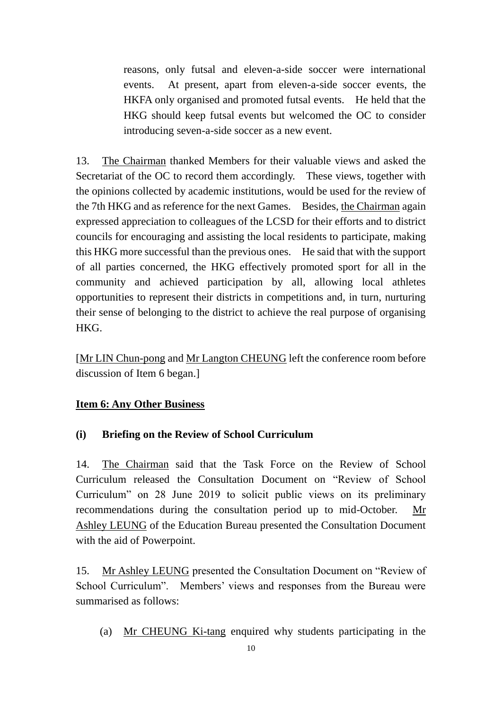reasons, only futsal and eleven-a-side soccer were international events. At present, apart from eleven-a-side soccer events, the HKFA only organised and promoted futsal events. He held that the HKG should keep futsal events but welcomed the OC to consider introducing seven-a-side soccer as a new event.

13. The Chairman thanked Members for their valuable views and asked the Secretariat of the OC to record them accordingly. These views, together with the opinions collected by academic institutions, would be used for the review of the 7th HKG and as reference for the next Games. Besides, the Chairman again expressed appreciation to colleagues of the LCSD for their efforts and to district councils for encouraging and assisting the local residents to participate, making this HKG more successful than the previous ones. He said that with the support of all parties concerned, the HKG effectively promoted sport for all in the community and achieved participation by all, allowing local athletes opportunities to represent their districts in competitions and, in turn, nurturing their sense of belonging to the district to achieve the real purpose of organising HKG.

[Mr LIN Chun-pong and Mr Langton CHEUNG left the conference room before discussion of Item 6 began.]

### **Item 6: Any Other Business**

### **(i) Briefing on the Review of School Curriculum**

14. The Chairman said that the Task Force on the Review of School Curriculum released the Consultation Document on "Review of School Curriculum" on 28 June 2019 to solicit public views on its preliminary recommendations during the consultation period up to mid-October. Mr Ashley LEUNG of the Education Bureau presented the Consultation Document with the aid of Powerpoint.

15. Mr Ashley LEUNG presented the Consultation Document on "Review of School Curriculum". Members' views and responses from the Bureau were summarised as follows:

(a) Mr CHEUNG Ki-tang enquired why students participating in the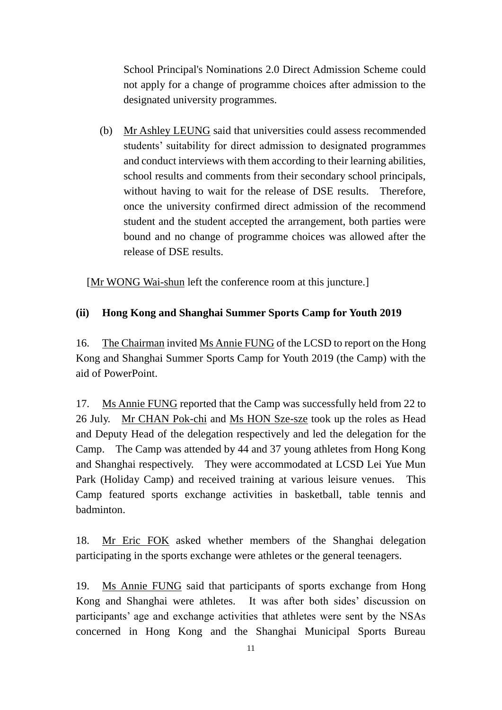School Principal's Nominations 2.0 Direct Admission Scheme could not apply for a change of programme choices after admission to the designated university programmes.

(b) Mr Ashley LEUNG said that universities could assess recommended students' suitability for direct admission to designated programmes and conduct interviews with them according to their learning abilities, school results and comments from their secondary school principals, without having to wait for the release of DSE results. Therefore, once the university confirmed direct admission of the recommend student and the student accepted the arrangement, both parties were bound and no change of programme choices was allowed after the release of DSE results.

[Mr WONG Wai-shun left the conference room at this juncture.]

# **(ii) Hong Kong and Shanghai Summer Sports Camp for Youth 2019**

16. The Chairman invited Ms Annie FUNG of the LCSD to report on the Hong Kong and Shanghai Summer Sports Camp for Youth 2019 (the Camp) with the aid of PowerPoint.

17. Ms Annie FUNG reported that the Camp was successfully held from 22 to 26 July. Mr CHAN Pok-chi and Ms HON Sze-sze took up the roles as Head and Deputy Head of the delegation respectively and led the delegation for the Camp. The Camp was attended by 44 and 37 young athletes from Hong Kong and Shanghai respectively. They were accommodated at LCSD Lei Yue Mun Park (Holiday Camp) and received training at various leisure venues. This Camp featured sports exchange activities in basketball, table tennis and badminton.

18. Mr Eric FOK asked whether members of the Shanghai delegation participating in the sports exchange were athletes or the general teenagers.

19. Ms Annie FUNG said that participants of sports exchange from Hong Kong and Shanghai were athletes. It was after both sides' discussion on participants' age and exchange activities that athletes were sent by the NSAs concerned in Hong Kong and the Shanghai Municipal Sports Bureau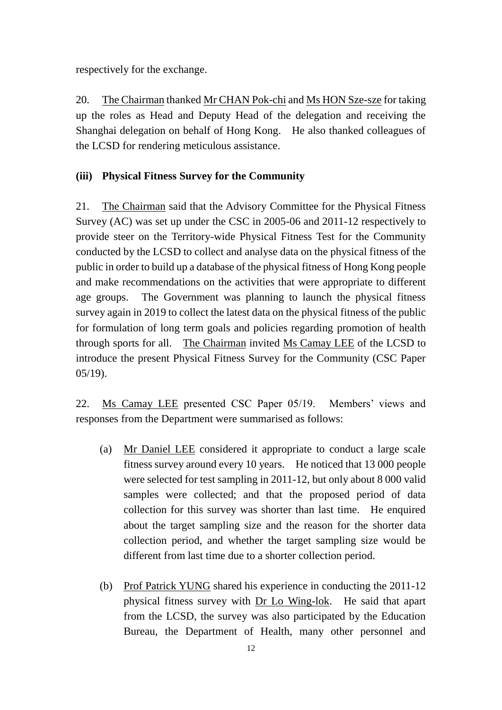respectively for the exchange.

20. The Chairman thanked Mr CHAN Pok-chi and Ms HON Sze-sze for taking up the roles as Head and Deputy Head of the delegation and receiving the Shanghai delegation on behalf of Hong Kong. He also thanked colleagues of the LCSD for rendering meticulous assistance.

### **(iii) Physical Fitness Survey for the Community**

21. The Chairman said that the Advisory Committee for the Physical Fitness Survey (AC) was set up under the CSC in 2005-06 and 2011-12 respectively to provide steer on the Territory-wide Physical Fitness Test for the Community conducted by the LCSD to collect and analyse data on the physical fitness of the public in order to build up a database of the physical fitness of Hong Kong people and make recommendations on the activities that were appropriate to different age groups. The Government was planning to launch the physical fitness survey again in 2019 to collect the latest data on the physical fitness of the public for formulation of long term goals and policies regarding promotion of health through sports for all. The Chairman invited Ms Camay LEE of the LCSD to introduce the present Physical Fitness Survey for the Community (CSC Paper 05/19).

22. Ms Camay LEE presented CSC Paper 05/19. Members' views and responses from the Department were summarised as follows:

- (a) Mr Daniel LEE considered it appropriate to conduct a large scale fitness survey around every 10 years. He noticed that 13 000 people were selected for test sampling in 2011-12, but only about 8 000 valid samples were collected; and that the proposed period of data collection for this survey was shorter than last time. He enquired about the target sampling size and the reason for the shorter data collection period, and whether the target sampling size would be different from last time due to a shorter collection period.
- (b) Prof Patrick YUNG shared his experience in conducting the 2011-12 physical fitness survey with Dr Lo Wing-lok. He said that apart from the LCSD, the survey was also participated by the Education Bureau, the Department of Health, many other personnel and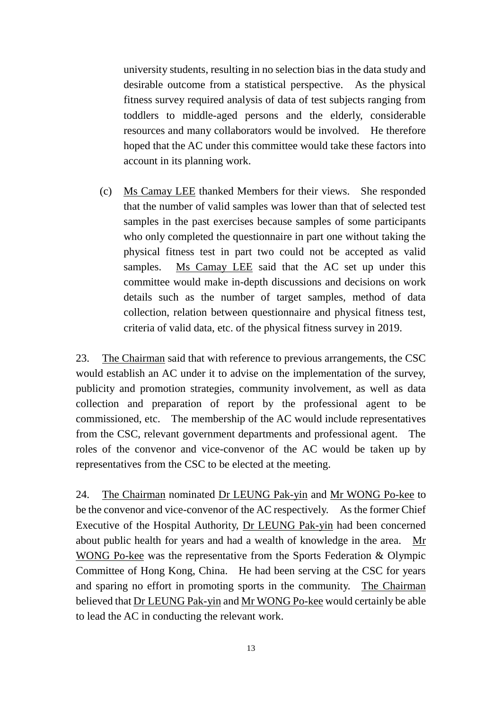university students, resulting in no selection bias in the data study and desirable outcome from a statistical perspective. As the physical fitness survey required analysis of data of test subjects ranging from toddlers to middle-aged persons and the elderly, considerable resources and many collaborators would be involved. He therefore hoped that the AC under this committee would take these factors into account in its planning work.

(c) Ms Camay LEE thanked Members for their views. She responded that the number of valid samples was lower than that of selected test samples in the past exercises because samples of some participants who only completed the questionnaire in part one without taking the physical fitness test in part two could not be accepted as valid samples. Ms Camay LEE said that the AC set up under this committee would make in-depth discussions and decisions on work details such as the number of target samples, method of data collection, relation between questionnaire and physical fitness test, criteria of valid data, etc. of the physical fitness survey in 2019.

23. The Chairman said that with reference to previous arrangements, the CSC would establish an AC under it to advise on the implementation of the survey, publicity and promotion strategies, community involvement, as well as data collection and preparation of report by the professional agent to be commissioned, etc. The membership of the AC would include representatives from the CSC, relevant government departments and professional agent. The roles of the convenor and vice-convenor of the AC would be taken up by representatives from the CSC to be elected at the meeting.

24. The Chairman nominated Dr LEUNG Pak-yin and Mr WONG Po-kee to be the convenor and vice-convenor of the AC respectively. As the former Chief Executive of the Hospital Authority, Dr LEUNG Pak-yin had been concerned about public health for years and had a wealth of knowledge in the area. Mr WONG Po-kee was the representative from the Sports Federation & Olympic Committee of Hong Kong, China. He had been serving at the CSC for years and sparing no effort in promoting sports in the community. The Chairman believed that Dr LEUNG Pak-yin and Mr WONG Po-kee would certainly be able to lead the AC in conducting the relevant work.